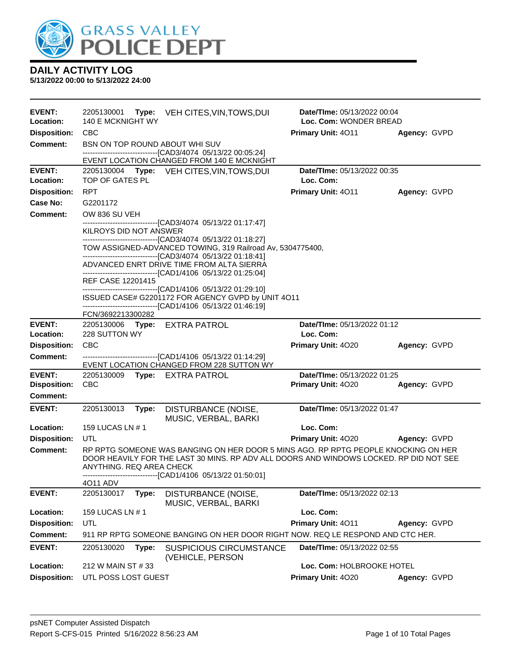

| <b>EVENT:</b><br>Location: | 2205130001<br>140 E MCKNIGHT WY |       | Type: VEH CITES, VIN, TOWS, DUI                                                                                                                                                                                                              | Date/TIme: 05/13/2022 00:04<br>Loc. Com: WONDER BREAD |              |  |
|----------------------------|---------------------------------|-------|----------------------------------------------------------------------------------------------------------------------------------------------------------------------------------------------------------------------------------------------|-------------------------------------------------------|--------------|--|
| <b>Disposition:</b>        | <b>CBC</b>                      |       |                                                                                                                                                                                                                                              | Primary Unit: 4011                                    | Agency: GVPD |  |
| <b>Comment:</b>            |                                 |       | BSN ON TOP ROUND ABOUT WHI SUV                                                                                                                                                                                                               |                                                       |              |  |
|                            |                                 |       | -------------------------------[CAD3/4074_05/13/22_00:05:24]                                                                                                                                                                                 |                                                       |              |  |
|                            |                                 |       | EVENT LOCATION CHANGED FROM 140 E MCKNIGHT                                                                                                                                                                                                   |                                                       |              |  |
| <b>EVENT:</b><br>Location: | TOP OF GATES PL                 |       | 2205130004 Type: VEH CITES, VIN, TOWS, DUI                                                                                                                                                                                                   | Date/TIme: 05/13/2022 00:35<br>Loc. Com:              |              |  |
| <b>Disposition:</b>        | <b>RPT</b>                      |       |                                                                                                                                                                                                                                              | Primary Unit: 4011                                    | Agency: GVPD |  |
| Case No:                   | G2201172                        |       |                                                                                                                                                                                                                                              |                                                       |              |  |
| Comment:                   | OW 836 SU VEH                   |       |                                                                                                                                                                                                                                              |                                                       |              |  |
|                            | KILROYS DID NOT ANSWER          |       | ------------------------------[CAD3/4074_05/13/22_01:17:47]                                                                                                                                                                                  |                                                       |              |  |
|                            |                                 |       | -------------------------------[CAD3/4074 05/13/22 01:18:27]<br>TOW ASSIGNED-ADVANCED TOWING, 319 Railroad Av, 5304775400,<br>--------------------------------[CAD3/4074 05/13/22 01:18:41]                                                  |                                                       |              |  |
|                            |                                 |       | ADVANCED ENRT DRIVE TIME FROM ALTA SIERRA<br>------------------------------[CAD1/4106 05/13/22 01:25:04]                                                                                                                                     |                                                       |              |  |
|                            | REF CASE 12201415               |       |                                                                                                                                                                                                                                              |                                                       |              |  |
|                            |                                 |       | --------------------------------[CAD1/4106 05/13/22 01:29:10]<br>ISSUED CASE# G2201172 FOR AGENCY GVPD by UNIT 4O11                                                                                                                          |                                                       |              |  |
|                            |                                 |       | -------------------------------[CAD1/4106 05/13/22 01:46:19]                                                                                                                                                                                 |                                                       |              |  |
|                            | FCN/3692213300282               |       |                                                                                                                                                                                                                                              |                                                       |              |  |
| <b>EVENT:</b>              |                                 |       | 2205130006 Type: EXTRA PATROL                                                                                                                                                                                                                | Date/TIme: 05/13/2022 01:12                           |              |  |
| Location:                  | 228 SUTTON WY                   |       |                                                                                                                                                                                                                                              | Loc. Com:                                             |              |  |
| <b>Disposition:</b>        | <b>CBC</b>                      |       |                                                                                                                                                                                                                                              | Primary Unit: 4020                                    | Agency: GVPD |  |
| <b>Comment:</b>            |                                 |       | -------------------------------[CAD1/4106 05/13/22 01:14:29]<br>EVENT LOCATION CHANGED FROM 228 SUTTON WY                                                                                                                                    |                                                       |              |  |
| <b>EVENT:</b>              | 2205130009                      |       | Type: EXTRA PATROL                                                                                                                                                                                                                           | Date/TIme: 05/13/2022 01:25                           |              |  |
| <b>Disposition:</b>        | <b>CBC</b>                      |       |                                                                                                                                                                                                                                              | Primary Unit: 4020                                    | Agency: GVPD |  |
| <b>Comment:</b>            |                                 |       |                                                                                                                                                                                                                                              |                                                       |              |  |
| <b>EVENT:</b>              | 2205130013                      | Type: | DISTURBANCE (NOISE,<br>MUSIC, VERBAL, BARKI                                                                                                                                                                                                  | Date/TIme: 05/13/2022 01:47                           |              |  |
| Location:                  | 159 LUCAS LN # 1                |       |                                                                                                                                                                                                                                              | Loc. Com:                                             |              |  |
| <b>Disposition:</b>        | UTL                             |       |                                                                                                                                                                                                                                              | Primary Unit: 4020                                    | Agency: GVPD |  |
| Comment:                   | ANYTHING. REQ AREA CHECK        |       | RP RPTG SOMEONE WAS BANGING ON HER DOOR 5 MINS AGO. RP RPTG PEOPLE KNOCKING ON HER<br>DOOR HEAVILY FOR THE LAST 30 MINS. RP ADV ALL DOORS AND WINDOWS LOCKED. RP DID NOT SEE<br>-------------------------------[CAD1/4106 05/13/22 01:50:01] |                                                       |              |  |
|                            | 4011 ADV                        |       |                                                                                                                                                                                                                                              |                                                       |              |  |
| <b>EVENT:</b>              | 2205130017                      | Type: | DISTURBANCE (NOISE,<br>MUSIC, VERBAL, BARKI                                                                                                                                                                                                  | Date/TIme: 05/13/2022 02:13                           |              |  |
| Location:                  | 159 LUCAS LN # 1                |       |                                                                                                                                                                                                                                              | Loc. Com:                                             |              |  |
| <b>Disposition:</b>        | UTL                             |       |                                                                                                                                                                                                                                              | Primary Unit: 4011                                    | Agency: GVPD |  |
| <b>Comment:</b>            |                                 |       | 911 RP RPTG SOMEONE BANGING ON HER DOOR RIGHT NOW. REQ LE RESPOND AND CTC HER.                                                                                                                                                               |                                                       |              |  |
| <b>EVENT:</b>              | 2205130020                      | Type: | <b>SUSPICIOUS CIRCUMSTANCE</b><br>(VEHICLE, PERSON                                                                                                                                                                                           | Date/TIme: 05/13/2022 02:55                           |              |  |
| Location:                  | 212 W MAIN ST # 33              |       |                                                                                                                                                                                                                                              | Loc. Com: HOLBROOKE HOTEL                             |              |  |
| <b>Disposition:</b>        | UTL POSS LOST GUEST             |       |                                                                                                                                                                                                                                              | Primary Unit: 4020                                    | Agency: GVPD |  |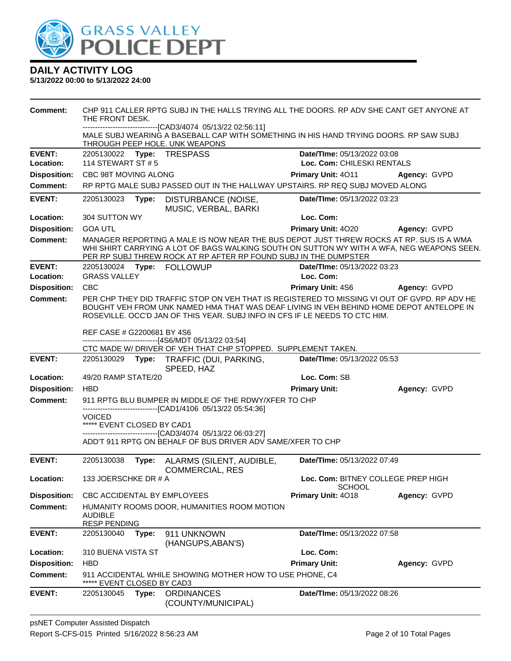

| Comment:            | CHP 911 CALLER RPTG SUBJ IN THE HALLS TRYING ALL THE DOORS. RP ADV SHE CANT GET ANYONE AT<br>THE FRONT DESK.<br>------------------[CAD3/4074 05/13/22 02:56:11] |       |                                                                                                                                                                                                                                                                        |                                                     |                     |
|---------------------|-----------------------------------------------------------------------------------------------------------------------------------------------------------------|-------|------------------------------------------------------------------------------------------------------------------------------------------------------------------------------------------------------------------------------------------------------------------------|-----------------------------------------------------|---------------------|
|                     |                                                                                                                                                                 |       | MALE SUBJ WEARING A BASEBALL CAP WITH SOMETHING IN HIS HAND TRYING DOORS. RP SAW SUBJ<br>THROUGH PEEP HOLE. UNK WEAPONS                                                                                                                                                |                                                     |                     |
| <b>EVENT:</b>       |                                                                                                                                                                 |       | 2205130022 Type: TRESPASS                                                                                                                                                                                                                                              | Date/TIme: 05/13/2022 03:08                         |                     |
| Location:           | 114 STEWART ST # 5                                                                                                                                              |       |                                                                                                                                                                                                                                                                        | Loc. Com: CHILESKI RENTALS                          |                     |
| <b>Disposition:</b> | CBC 98T MOVING ALONG                                                                                                                                            |       |                                                                                                                                                                                                                                                                        | Primary Unit: 4011                                  | Agency: GVPD        |
| <b>Comment:</b>     |                                                                                                                                                                 |       | RP RPTG MALE SUBJ PASSED OUT IN THE HALLWAY UPSTAIRS. RP REQ SUBJ MOVED ALONG                                                                                                                                                                                          |                                                     |                     |
| <b>EVENT:</b>       |                                                                                                                                                                 |       | 2205130023 Type: DISTURBANCE (NOISE,<br>MUSIC, VERBAL, BARKI                                                                                                                                                                                                           | Date/TIme: 05/13/2022 03:23                         |                     |
| Location:           | 304 SUTTON WY                                                                                                                                                   |       |                                                                                                                                                                                                                                                                        | Loc. Com:                                           |                     |
| <b>Disposition:</b> | <b>GOA UTL</b>                                                                                                                                                  |       |                                                                                                                                                                                                                                                                        | Primary Unit: 4020                                  | <b>Agency: GVPD</b> |
| <b>Comment:</b>     |                                                                                                                                                                 |       | MANAGER REPORTING A MALE IS NOW NEAR THE BUS DEPOT JUST THREW ROCKS AT RP. SUS IS A WMA<br>WHI SHIRT CARRYING A LOT OF BAGS WALKING SOUTH ON SUTTON WY WITH A WFA, NEG WEAPONS SEEN.<br>PER RP SUBJ THREW ROCK AT RP AFTER RP FOUND SUBJ IN THE DUMPSTER               |                                                     |                     |
| <b>EVENT:</b>       |                                                                                                                                                                 |       | 2205130024 Type: FOLLOWUP                                                                                                                                                                                                                                              | Date/TIme: 05/13/2022 03:23                         |                     |
| Location:           | <b>GRASS VALLEY</b>                                                                                                                                             |       |                                                                                                                                                                                                                                                                        | Loc. Com:                                           |                     |
| <b>Disposition:</b> | <b>CBC</b>                                                                                                                                                      |       |                                                                                                                                                                                                                                                                        | <b>Primary Unit: 4S6</b>                            | Agency: GVPD        |
| <b>Comment:</b>     |                                                                                                                                                                 |       | PER CHP THEY DID TRAFFIC STOP ON VEH THAT IS REGISTERED TO MISSING VI OUT OF GVPD. RP ADV HE<br>BOUGHT VEH FROM UNK NAMED HMA THAT WAS DEAF LIVING IN VEH BEHIND HOME DEPOT ANTELOPE IN<br>ROSEVILLE, OCC'D JAN OF THIS YEAR, SUBJ INFO IN CFS IF LE NEEDS TO CTC HIM. |                                                     |                     |
|                     | REF CASE # G2200681 BY 4S6                                                                                                                                      |       | -------------------------------[4S6/MDT 05/13/22 03:54]                                                                                                                                                                                                                |                                                     |                     |
|                     |                                                                                                                                                                 |       | CTC MADE W/ DRIVER OF VEH THAT CHP STOPPED. SUPPLEMENT TAKEN.                                                                                                                                                                                                          |                                                     |                     |
| <b>EVENT:</b>       |                                                                                                                                                                 |       | 2205130029 Type: TRAFFIC (DUI, PARKING,<br>SPEED, HAZ                                                                                                                                                                                                                  | Date/TIme: 05/13/2022 05:53                         |                     |
| Location:           | 49/20 RAMP STATE/20                                                                                                                                             |       |                                                                                                                                                                                                                                                                        | Loc. Com: SB                                        |                     |
| <b>Disposition:</b> | <b>HBD</b>                                                                                                                                                      |       |                                                                                                                                                                                                                                                                        | <b>Primary Unit:</b>                                | Agency: GVPD        |
| <b>Comment:</b>     |                                                                                                                                                                 |       | 911 RPTG BLU BUMPER IN MIDDLE OF THE RDWY/XFER TO CHP                                                                                                                                                                                                                  |                                                     |                     |
|                     | <b>VOICED</b>                                                                                                                                                   |       | -------------------------------[CAD1/4106 05/13/22 05:54:36]                                                                                                                                                                                                           |                                                     |                     |
|                     | ***** EVENT CLOSED BY CAD1                                                                                                                                      |       |                                                                                                                                                                                                                                                                        |                                                     |                     |
|                     |                                                                                                                                                                 |       | -------------------------------[CAD3/4074 05/13/22 06:03:27]<br>ADD'T 911 RPTG ON BEHALF OF BUS DRIVER ADV SAME/XFER TO CHP                                                                                                                                            |                                                     |                     |
| <b>EVENT:</b>       |                                                                                                                                                                 |       | 2205130038 Type: ALARMS (SILENT, AUDIBLE,<br><b>COMMERCIAL, RES</b>                                                                                                                                                                                                    | Date/TIme: 05/13/2022 07:49                         |                     |
| <b>Location:</b>    | 133 JOERSCHKE DR # A                                                                                                                                            |       |                                                                                                                                                                                                                                                                        | Loc. Com: BITNEY COLLEGE PREP HIGH<br><b>SCHOOL</b> |                     |
| <b>Disposition:</b> | CBC ACCIDENTAL BY EMPLOYEES                                                                                                                                     |       |                                                                                                                                                                                                                                                                        | Primary Unit: 4018                                  | Agency: GVPD        |
| <b>Comment:</b>     | <b>AUDIBLE</b><br><b>RESP PENDING</b>                                                                                                                           |       | HUMANITY ROOMS DOOR, HUMANITIES ROOM MOTION                                                                                                                                                                                                                            |                                                     |                     |
| <b>EVENT:</b>       | 2205130040                                                                                                                                                      | Type: | 911 UNKNOWN                                                                                                                                                                                                                                                            | Date/TIme: 05/13/2022 07:58                         |                     |
| Location:           | 310 BUENA VISTA ST                                                                                                                                              |       | (HANGUPS, ABAN'S)                                                                                                                                                                                                                                                      | Loc. Com:                                           |                     |
| <b>Disposition:</b> | <b>HBD</b>                                                                                                                                                      |       |                                                                                                                                                                                                                                                                        | <b>Primary Unit:</b>                                | Agency: GVPD        |
| <b>Comment:</b>     |                                                                                                                                                                 |       | 911 ACCIDENTAL WHILE SHOWING MOTHER HOW TO USE PHONE, C4                                                                                                                                                                                                               |                                                     |                     |
|                     | EVENT CLOSED BY CAD3                                                                                                                                            |       |                                                                                                                                                                                                                                                                        |                                                     |                     |
| <b>EVENT:</b>       | 2205130045                                                                                                                                                      | Type: | <b>ORDINANCES</b><br>(COUNTY/MUNICIPAL)                                                                                                                                                                                                                                | Date/TIme: 05/13/2022 08:26                         |                     |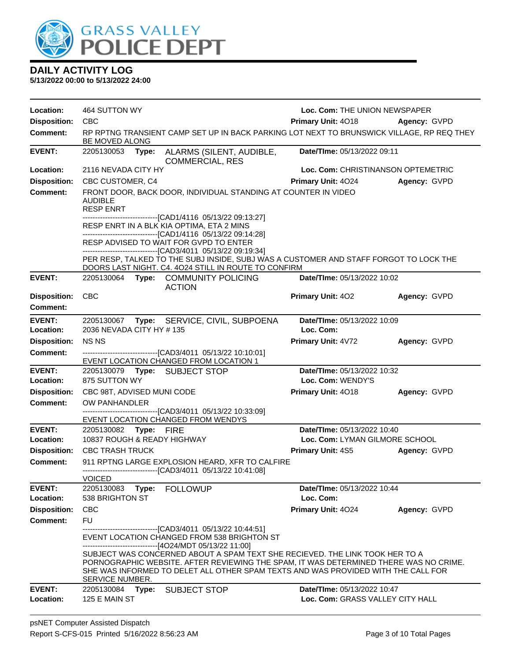

| Location:                  | 464 SUTTON WY                                                                                          |                                                                                                                                                                                                                                                                                                                                                                                                                                 | Loc. Com: THE UNION NEWSPAPER            |                     |
|----------------------------|--------------------------------------------------------------------------------------------------------|---------------------------------------------------------------------------------------------------------------------------------------------------------------------------------------------------------------------------------------------------------------------------------------------------------------------------------------------------------------------------------------------------------------------------------|------------------------------------------|---------------------|
| <b>Disposition:</b>        | <b>CBC</b>                                                                                             |                                                                                                                                                                                                                                                                                                                                                                                                                                 | <b>Primary Unit: 4018</b>                | <b>Agency: GVPD</b> |
| <b>Comment:</b>            | BE MOVED ALONG                                                                                         | RP RPTNG TRANSIENT CAMP SET UP IN BACK PARKING LOT NEXT TO BRUNSWICK VILLAGE, RP REQ THEY                                                                                                                                                                                                                                                                                                                                       |                                          |                     |
| <b>EVENT:</b>              | 2205130053 Type:                                                                                       | ALARMS (SILENT, AUDIBLE,<br><b>COMMERCIAL, RES</b>                                                                                                                                                                                                                                                                                                                                                                              | Date/TIme: 05/13/2022 09:11              |                     |
| Location:                  | 2116 NEVADA CITY HY                                                                                    |                                                                                                                                                                                                                                                                                                                                                                                                                                 | Loc. Com: CHRISTINANSON OPTEMETRIC       |                     |
| <b>Disposition:</b>        | CBC CUSTOMER, C4                                                                                       |                                                                                                                                                                                                                                                                                                                                                                                                                                 | <b>Primary Unit: 4024</b>                | Agency: GVPD        |
| <b>Comment:</b>            | AUDIBLE<br><b>RESP ENRT</b>                                                                            | FRONT DOOR, BACK DOOR, INDIVIDUAL STANDING AT COUNTER IN VIDEO<br>-------------------------------[CAD1/4116 05/13/22 09:13:27]                                                                                                                                                                                                                                                                                                  |                                          |                     |
|                            |                                                                                                        | RESP ENRT IN A BLK KIA OPTIMA, ETA 2 MINS<br>-------------------------------[CAD1/4116 05/13/22 09:14:28]<br>RESP ADVISED TO WAIT FOR GVPD TO ENTER<br>-------------------------------[CAD3/4011 05/13/22 09:19:34]                                                                                                                                                                                                             |                                          |                     |
|                            |                                                                                                        | PER RESP, TALKED TO THE SUBJ INSIDE, SUBJ WAS A CUSTOMER AND STAFF FORGOT TO LOCK THE<br>DOORS LAST NIGHT. C4. 4024 STILL IN ROUTE TO CONFIRM                                                                                                                                                                                                                                                                                   |                                          |                     |
| <b>EVENT:</b>              |                                                                                                        | 2205130064 Type: COMMUNITY POLICING<br><b>ACTION</b>                                                                                                                                                                                                                                                                                                                                                                            | Date/TIme: 05/13/2022 10:02              |                     |
| <b>Disposition:</b>        | <b>CBC</b>                                                                                             |                                                                                                                                                                                                                                                                                                                                                                                                                                 | <b>Primary Unit: 402</b>                 | Agency: GVPD        |
| <b>Comment:</b>            |                                                                                                        |                                                                                                                                                                                                                                                                                                                                                                                                                                 |                                          |                     |
| <b>EVENT:</b>              |                                                                                                        | 2205130067 Type: SERVICE, CIVIL, SUBPOENA                                                                                                                                                                                                                                                                                                                                                                                       | Date/TIme: 05/13/2022 10:09              |                     |
| Location:                  | 2036 NEVADA CITY HY #135                                                                               |                                                                                                                                                                                                                                                                                                                                                                                                                                 | Loc. Com:                                |                     |
| <b>Disposition:</b>        | <b>NSNS</b>                                                                                            |                                                                                                                                                                                                                                                                                                                                                                                                                                 | Primary Unit: 4V72                       | Agency: GVPD        |
| <b>Comment:</b>            |                                                                                                        | --------------------------------[CAD3/4011 05/13/22 10:10:01]                                                                                                                                                                                                                                                                                                                                                                   |                                          |                     |
| <b>EVENT:</b>              | EVENT LOCATION CHANGED FROM LOCATION 1<br>2205130079 Type: SUBJECT STOP<br>Date/TIme: 05/13/2022 10:32 |                                                                                                                                                                                                                                                                                                                                                                                                                                 |                                          |                     |
| Location:                  | 875 SUTTON WY                                                                                          |                                                                                                                                                                                                                                                                                                                                                                                                                                 | Loc. Com: WENDY'S                        |                     |
| <b>Disposition:</b>        | CBC 98T, ADVISED MUNI CODE                                                                             |                                                                                                                                                                                                                                                                                                                                                                                                                                 | Primary Unit: 4018                       | Agency: GVPD        |
| <b>Comment:</b>            | OW PANHANDLER                                                                                          |                                                                                                                                                                                                                                                                                                                                                                                                                                 |                                          |                     |
|                            |                                                                                                        | -------------------------------[CAD3/4011 05/13/22 10:33:09]<br>EVENT LOCATION CHANGED FROM WENDYS                                                                                                                                                                                                                                                                                                                              |                                          |                     |
| <b>EVENT:</b>              | 2205130082 Type: FIRE                                                                                  |                                                                                                                                                                                                                                                                                                                                                                                                                                 | Date/TIme: 05/13/2022 10:40              |                     |
| Location:                  | 10837 ROUGH & READY HIGHWAY                                                                            |                                                                                                                                                                                                                                                                                                                                                                                                                                 | Loc. Com: LYMAN GILMORE SCHOOL           |                     |
| <b>Disposition:</b>        | <b>CBC TRASH TRUCK</b>                                                                                 |                                                                                                                                                                                                                                                                                                                                                                                                                                 | <b>Primary Unit: 4S5</b>                 | Agency: GVPD        |
| <b>Comment:</b>            |                                                                                                        | 911 RPTNG LARGE EXPLOSION HEARD, XFR TO CALFIRE<br>------------------------------[CAD3/4011 05/13/22 10:41:08]                                                                                                                                                                                                                                                                                                                  |                                          |                     |
|                            | <b>VOICED</b>                                                                                          |                                                                                                                                                                                                                                                                                                                                                                                                                                 |                                          |                     |
| <b>EVENT:</b><br>Location: | 2205130083 Type: FOLLOWUP<br>538 BRIGHTON ST                                                           |                                                                                                                                                                                                                                                                                                                                                                                                                                 | Date/TIme: 05/13/2022 10:44<br>Loc. Com: |                     |
| <b>Disposition:</b>        | <b>CBC</b>                                                                                             |                                                                                                                                                                                                                                                                                                                                                                                                                                 | Primary Unit: 4024                       | Agency: GVPD        |
| <b>Comment:</b>            | <b>FU</b>                                                                                              |                                                                                                                                                                                                                                                                                                                                                                                                                                 |                                          |                     |
|                            | SERVICE NUMBER.                                                                                        | -----------------------[CAD3/4011_05/13/22 10:44:51]<br>EVENT LOCATION CHANGED FROM 538 BRIGHTON ST<br>---------------------------------[4O24/MDT 05/13/22 11:00]<br>SUBJECT WAS CONCERNED ABOUT A SPAM TEXT SHE RECIEVED. THE LINK TOOK HER TO A<br>PORNOGRAPHIC WEBSITE. AFTER REVIEWING THE SPAM, IT WAS DETERMINED THERE WAS NO CRIME.<br>SHE WAS INFORMED TO DELET ALL OTHER SPAM TEXTS AND WAS PROVIDED WITH THE CALL FOR |                                          |                     |
| <b>EVENT:</b>              | 2205130084                                                                                             | Type: SUBJECT STOP                                                                                                                                                                                                                                                                                                                                                                                                              | Date/TIme: 05/13/2022 10:47              |                     |
| Location:                  | 125 E MAIN ST                                                                                          |                                                                                                                                                                                                                                                                                                                                                                                                                                 | Loc. Com: GRASS VALLEY CITY HALL         |                     |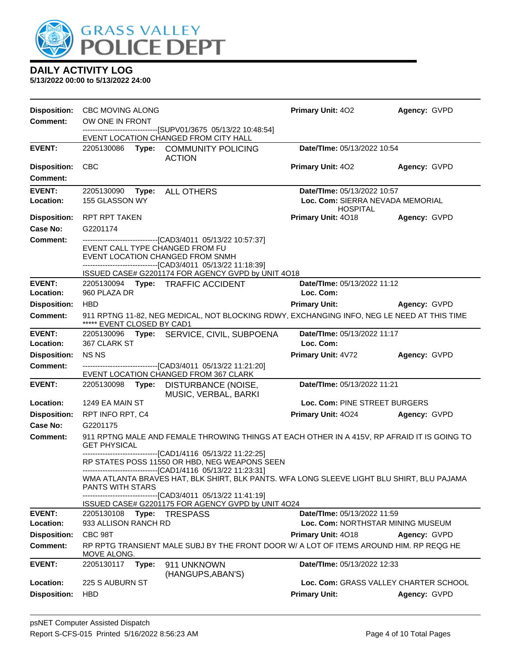

**5/13/2022 00:00 to 5/13/2022 24:00**

**Disposition:** CBC MOVING ALONG **Primary Unit:** 4O2 **Agency:** GVPD **Comment:** OW ONE IN FRONT ------------------------------[SUPV01/3675 05/13/22 10:48:54] EVENT LOCATION CHANGED FROM CITY HALL **EVENT:** 2205130086 **Type:** COMMUNITY POLICING ACTION **Date/TIme:** 05/13/2022 10:54 **Disposition:** CBC **Primary Unit:** 4O2 **Agency:** GVPD **Comment: EVENT:** 2205130090 **Type:** ALL OTHERS **Date/TIme:** 05/13/2022 10:57 **Location:** 155 GLASSON WY **Loc. Com:** SIERRA NEVADA MEMORIAL HOSPITAL **Disposition:** RPT RPT TAKEN **Primary Unit:** 4O18 **Agency:** GVPD **Case No:** G2201174 **Comment:** ------------------------------[CAD3/4011 05/13/22 10:57:37] EVENT CALL TYPE CHANGED FROM FU EVENT LOCATION CHANGED FROM SNMH ------------------------------[CAD3/4011 05/13/22 11:18:39] ISSUED CASE# G2201174 FOR AGENCY GVPD by UNIT 4O18 **EVENT:** 2205130094 **Type:** TRAFFIC ACCIDENT **Date/TIme:** 05/13/2022 11:12 **Location:** 960 PLAZA DR **Loc. Com: Disposition:** HBD **Primary Unit: Agency:** GVPD **Comment:** 911 RPTNG 11-82, NEG MEDICAL, NOT BLOCKING RDWY, EXCHANGING INFO, NEG LE NEED AT THIS TIME \*\*\*\*\* EVENT CLOSED BY CAD1 **EVENT:** 2205130096 **Type:** SERVICE, CIVIL, SUBPOENA **Date/TIme:** 05/13/2022 11:17 **Location:** 367 CLARK ST **Loc. Com: Disposition:** NS NS **Primary Unit:** 4V72 **Agency:** GVPD **Comment:** ------------------------------[CAD3/4011 05/13/22 11:21:20] EVENT LOCATION CHANGED FROM 367 CLARK **EVENT:** 2205130098 **Type:** DISTURBANCE (NOISE, MUSIC, VERBAL, BARKI **Date/TIme:** 05/13/2022 11:21 **Location:** 1249 EA MAIN ST **Loc. Com:** PINE STREET BURGERS **Disposition:** RPT INFO RPT, C4 **Primary Unit:** 4O24 **Agency:** GVPD **Case No:** G2201175 **Comment:** 911 RPTNG MALE AND FEMALE THROWING THINGS AT EACH OTHER IN A 415V, RP AFRAID IT IS GOING TO GET PHYSICAL ------------------------------[CAD1/4116 05/13/22 11:22:25] RP STATES POSS 11550 OR HBD, NEG WEAPONS SEEN ------------------------------[CAD1/4116 05/13/22 11:23:31] WMA ATLANTA BRAVES HAT, BLK SHIRT, BLK PANTS. WFA LONG SLEEVE LIGHT BLU SHIRT, BLU PAJAMA PANTS WITH STARS ------------------------------[CAD3/4011 05/13/22 11:41:19] ISSUED CASE# G2201175 FOR AGENCY GVPD by UNIT 4O24 **EVENT:** 2205130108 **Type:** TRESPASS **Date/TIme:** 05/13/2022 11:59 **Location:** 933 ALLISON RANCH RD **Loc. Com:** NORTHSTAR MINING MUSEUM **Disposition:** CBC 98T **Primary Unit:** 4O18 **Agency:** GVPD **Comment:** RP RPTG TRANSIENT MALE SUBJ BY THE FRONT DOOR W/ A LOT OF ITEMS AROUND HIM. RP REQG HE MOVE ALONG **EVENT:** 2205130117 **Type:** 911 UNKNOWN (HANGUPS,ABAN'S) **Date/TIme:** 05/13/2022 12:33 **Location:** 225 S AUBURN ST **Loc. Com:** GRASS VALLEY CHARTER SCHOOL **Disposition:** HBD **Primary Unit: Agency:** GVPD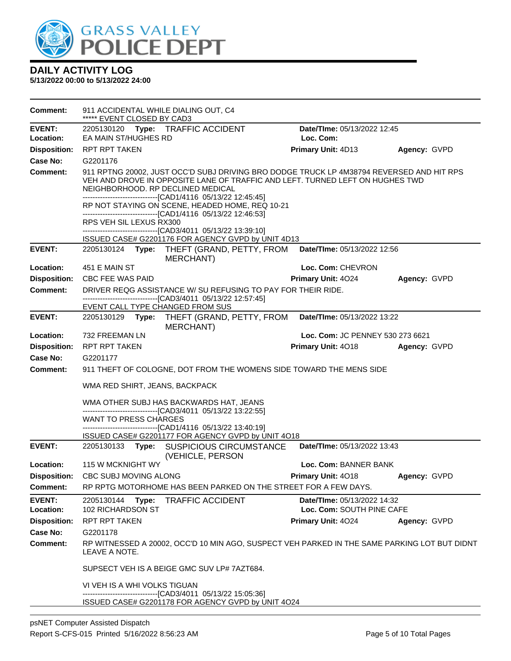

| Comment:                   | 911 ACCIDENTAL WHILE DIALING OUT, C4<br>***** EVENT CLOSED BY CAD3                                                                                                                                                                                                                                                                                                                                                                                                                           |                                                                 |              |  |  |
|----------------------------|----------------------------------------------------------------------------------------------------------------------------------------------------------------------------------------------------------------------------------------------------------------------------------------------------------------------------------------------------------------------------------------------------------------------------------------------------------------------------------------------|-----------------------------------------------------------------|--------------|--|--|
| <b>EVENT:</b>              | 2205130120 Type: TRAFFIC ACCIDENT<br>Date/TIme: 05/13/2022 12:45                                                                                                                                                                                                                                                                                                                                                                                                                             |                                                                 |              |  |  |
| Location:                  | EA MAIN ST/HUGHES RD                                                                                                                                                                                                                                                                                                                                                                                                                                                                         | Loc. Com:                                                       |              |  |  |
| <b>Disposition:</b>        | <b>RPT RPT TAKEN</b>                                                                                                                                                                                                                                                                                                                                                                                                                                                                         | Primary Unit: 4D13                                              | Agency: GVPD |  |  |
| <b>Case No:</b>            | G2201176                                                                                                                                                                                                                                                                                                                                                                                                                                                                                     |                                                                 |              |  |  |
| <b>Comment:</b>            | 911 RPTNG 20002, JUST OCC'D SUBJ DRIVING BRO DODGE TRUCK LP 4M38794 REVERSED AND HIT RPS<br>VEH AND DROVE IN OPPOSITE LANE OF TRAFFIC AND LEFT. TURNED LEFT ON HUGHES TWD<br>NEIGHBORHOOD. RP DECLINED MEDICAL<br>-------------------------------[CAD1/4116 05/13/22 12:45:45]<br>RP NOT STAYING ON SCENE, HEADED HOME, REQ 10-21<br>-------------------------------[CAD1/4116 05/13/22 12:46:53]<br>RPS VEH SIL LEXUS RX300<br>-------------------------------[CAD3/4011 05/13/22 13:39:10] |                                                                 |              |  |  |
| <b>EVENT:</b>              | ISSUED CASE# G2201176 FOR AGENCY GVPD by UNIT 4D13<br>2205130124 Type: THEFT (GRAND, PETTY, FROM<br>MERCHANT)                                                                                                                                                                                                                                                                                                                                                                                | Date/TIme: 05/13/2022 12:56                                     |              |  |  |
| Location:                  | 451 E MAIN ST                                                                                                                                                                                                                                                                                                                                                                                                                                                                                | Loc. Com: CHEVRON                                               |              |  |  |
| <b>Disposition:</b>        | CBC FEE WAS PAID                                                                                                                                                                                                                                                                                                                                                                                                                                                                             | Primary Unit: 4024                                              | Agency: GVPD |  |  |
| <b>Comment:</b>            | DRIVER REQG ASSISTANCE W/ SU REFUSING TO PAY FOR THEIR RIDE.<br>------------------------[CAD3/4011_05/13/22 12:57:45]                                                                                                                                                                                                                                                                                                                                                                        |                                                                 |              |  |  |
| <b>EVENT:</b>              | EVENT CALL TYPE CHANGED FROM SUS                                                                                                                                                                                                                                                                                                                                                                                                                                                             |                                                                 |              |  |  |
|                            | 2205130129 Type: THEFT (GRAND, PETTY, FROM<br><b>MERCHANT)</b>                                                                                                                                                                                                                                                                                                                                                                                                                               | Date/TIme: 05/13/2022 13:22                                     |              |  |  |
| Location:                  | 732 FREEMAN LN                                                                                                                                                                                                                                                                                                                                                                                                                                                                               | Loc. Com: JC PENNEY 530 273 6621                                |              |  |  |
| <b>Disposition:</b>        | RPT RPT TAKEN                                                                                                                                                                                                                                                                                                                                                                                                                                                                                | Primary Unit: 4018                                              | Agency: GVPD |  |  |
| <b>Case No:</b>            | G2201177                                                                                                                                                                                                                                                                                                                                                                                                                                                                                     |                                                                 |              |  |  |
| <b>Comment:</b>            | 911 THEFT OF COLOGNE, DOT FROM THE WOMENS SIDE TOWARD THE MENS SIDE                                                                                                                                                                                                                                                                                                                                                                                                                          |                                                                 |              |  |  |
|                            | WMA RED SHIRT, JEANS, BACKPACK                                                                                                                                                                                                                                                                                                                                                                                                                                                               |                                                                 |              |  |  |
|                            | WMA OTHER SUBJ HAS BACKWARDS HAT, JEANS                                                                                                                                                                                                                                                                                                                                                                                                                                                      |                                                                 |              |  |  |
|                            | -------------------------------[CAD3/4011_05/13/22 13:22:55]<br><b>WANT TO PRESS CHARGES</b>                                                                                                                                                                                                                                                                                                                                                                                                 |                                                                 |              |  |  |
|                            | -------------------------------[CAD1/4116 05/13/22 13:40:19]                                                                                                                                                                                                                                                                                                                                                                                                                                 |                                                                 |              |  |  |
|                            | ISSUED CASE# G2201177 FOR AGENCY GVPD by UNIT 4O18                                                                                                                                                                                                                                                                                                                                                                                                                                           |                                                                 |              |  |  |
| <b>EVENT:</b>              | 2205130133 Type: SUSPICIOUS CIRCUMSTANCE<br>(VEHICLE, PERSON                                                                                                                                                                                                                                                                                                                                                                                                                                 | Date/TIme: 05/13/2022 13:43                                     |              |  |  |
| Location:                  | 115 W MCKNIGHT WY                                                                                                                                                                                                                                                                                                                                                                                                                                                                            | Loc. Com: BANNER BANK                                           |              |  |  |
| <b>Disposition:</b>        | CBC SUBJ MOVING ALONG                                                                                                                                                                                                                                                                                                                                                                                                                                                                        | <b>Primary Unit: 4018 Agency: GVPD</b>                          |              |  |  |
| Comment:                   | RP RPTG MOTORHOME HAS BEEN PARKED ON THE STREET FOR A FEW DAYS.                                                                                                                                                                                                                                                                                                                                                                                                                              |                                                                 |              |  |  |
| <b>EVENT:</b><br>Location: | 2205130144<br>Type:<br><b>TRAFFIC ACCIDENT</b><br>102 RICHARDSON ST                                                                                                                                                                                                                                                                                                                                                                                                                          | <b>Date/Time: 05/13/2022 14:32</b><br>Loc. Com: SOUTH PINE CAFE |              |  |  |
| <b>Disposition:</b>        | RPT RPT TAKEN                                                                                                                                                                                                                                                                                                                                                                                                                                                                                | <b>Primary Unit: 4024</b>                                       | Agency: GVPD |  |  |
| Case No:                   | G2201178                                                                                                                                                                                                                                                                                                                                                                                                                                                                                     |                                                                 |              |  |  |
| <b>Comment:</b>            | RP WITNESSED A 20002, OCC'D 10 MIN AGO, SUSPECT VEH PARKED IN THE SAME PARKING LOT BUT DIDNT<br>LEAVE A NOTE.                                                                                                                                                                                                                                                                                                                                                                                |                                                                 |              |  |  |
|                            | SUPSECT VEH IS A BEIGE GMC SUV LP# 7AZT684.                                                                                                                                                                                                                                                                                                                                                                                                                                                  |                                                                 |              |  |  |
|                            | VI VEH IS A WHI VOLKS TIGUAN                                                                                                                                                                                                                                                                                                                                                                                                                                                                 |                                                                 |              |  |  |
|                            | -------------------------------[CAD3/4011 05/13/22 15:05:36]<br>ISSUED CASE# G2201178 FOR AGENCY GVPD by UNIT 4O24                                                                                                                                                                                                                                                                                                                                                                           |                                                                 |              |  |  |
|                            |                                                                                                                                                                                                                                                                                                                                                                                                                                                                                              |                                                                 |              |  |  |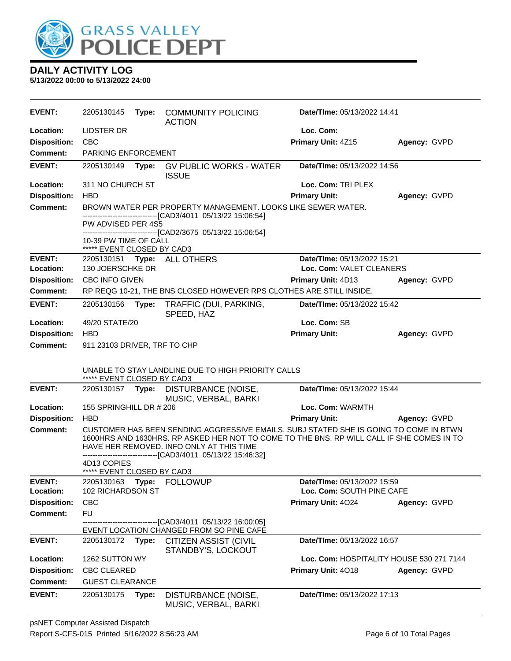

| <b>EVENT:</b>       | 2205130145                                          | Type: | <b>COMMUNITY POLICING</b><br><b>ACTION</b>                                                                                                                                                                                                                                                     | Date/Time: 05/13/2022 14:41              |              |
|---------------------|-----------------------------------------------------|-------|------------------------------------------------------------------------------------------------------------------------------------------------------------------------------------------------------------------------------------------------------------------------------------------------|------------------------------------------|--------------|
| Location:           | LIDSTER DR                                          |       |                                                                                                                                                                                                                                                                                                | Loc. Com:                                |              |
| <b>Disposition:</b> | <b>CBC</b>                                          |       |                                                                                                                                                                                                                                                                                                | Primary Unit: 4Z15                       | Agency: GVPD |
| <b>Comment:</b>     | PARKING ENFORCEMENT                                 |       |                                                                                                                                                                                                                                                                                                |                                          |              |
| <b>EVENT:</b>       | 2205130149                                          |       | Type: GV PUBLIC WORKS - WATER<br><b>ISSUE</b>                                                                                                                                                                                                                                                  | Date/TIme: 05/13/2022 14:56              |              |
| Location:           | 311 NO CHURCH ST                                    |       |                                                                                                                                                                                                                                                                                                | Loc. Com: TRI PLEX                       |              |
| <b>Disposition:</b> | <b>HBD</b>                                          |       |                                                                                                                                                                                                                                                                                                | <b>Primary Unit:</b>                     | Agency: GVPD |
| <b>Comment:</b>     |                                                     |       | BROWN WATER PER PROPERTY MANAGEMENT. LOOKS LIKE SEWER WATER.                                                                                                                                                                                                                                   |                                          |              |
|                     | PW ADVISED PER 4S5                                  |       | ------------------------[CAD3/4011_05/13/22 15:06:54]                                                                                                                                                                                                                                          |                                          |              |
|                     |                                                     |       | -------------------------------[CAD2/3675 05/13/22 15:06:54]                                                                                                                                                                                                                                   |                                          |              |
|                     | 10-39 PW TIME OF CALL<br>***** EVENT CLOSED BY CAD3 |       |                                                                                                                                                                                                                                                                                                |                                          |              |
| <b>EVENT:</b>       |                                                     |       | 2205130151 Type: ALL OTHERS                                                                                                                                                                                                                                                                    | Date/TIme: 05/13/2022 15:21              |              |
| Location:           | 130 JOERSCHKE DR                                    |       |                                                                                                                                                                                                                                                                                                | Loc. Com: VALET CLEANERS                 |              |
| <b>Disposition:</b> | <b>CBC INFO GIVEN</b>                               |       |                                                                                                                                                                                                                                                                                                | <b>Primary Unit: 4D13</b>                | Agency: GVPD |
| <b>Comment:</b>     |                                                     |       | RP REQG 10-21, THE BNS CLOSED HOWEVER RPS CLOTHES ARE STILL INSIDE.                                                                                                                                                                                                                            |                                          |              |
| <b>EVENT:</b>       | 2205130156                                          | Type: | TRAFFIC (DUI, PARKING,<br>SPEED, HAZ                                                                                                                                                                                                                                                           | Date/TIme: 05/13/2022 15:42              |              |
| Location:           | 49/20 STATE/20                                      |       |                                                                                                                                                                                                                                                                                                | Loc. Com: SB                             |              |
| <b>Disposition:</b> | <b>HBD</b>                                          |       |                                                                                                                                                                                                                                                                                                | <b>Primary Unit:</b>                     | Agency: GVPD |
| <b>Comment:</b>     | 911 23103 DRIVER, TRF TO CHP                        |       |                                                                                                                                                                                                                                                                                                |                                          |              |
|                     | ***** EVENT CLOSED BY CAD3                          |       | UNABLE TO STAY LANDLINE DUE TO HIGH PRIORITY CALLS                                                                                                                                                                                                                                             |                                          |              |
| <b>EVENT:</b>       |                                                     |       | 2205130157 Type: DISTURBANCE (NOISE,<br>MUSIC, VERBAL, BARKI                                                                                                                                                                                                                                   | Date/TIme: 05/13/2022 15:44              |              |
| Location:           | 155 SPRINGHILL DR # 206                             |       |                                                                                                                                                                                                                                                                                                | Loc. Com: WARMTH                         |              |
| <b>Disposition:</b> | <b>HBD</b>                                          |       |                                                                                                                                                                                                                                                                                                | <b>Primary Unit:</b>                     | Agency: GVPD |
| Comment:            | 4D13 COPIES                                         |       | CUSTOMER HAS BEEN SENDING AGGRESSIVE EMAILS. SUBJ STATED SHE IS GOING TO COME IN BTWN<br>1600HRS AND 1630HRS. RP ASKED HER NOT TO COME TO THE BNS. RP WILL CALL IF SHE COMES IN TO<br>HAVE HER REMOVED. INFO ONLY AT THIS TIME<br>-------------------------------[CAD3/4011 05/13/22 15:46:32] |                                          |              |
| <b>EVENT:</b>       | ***** EVENT CLOSED BY CAD3<br>2205130163            | Type: | <b>FOLLOWUP</b>                                                                                                                                                                                                                                                                                | Date/TIme: 05/13/2022 15:59              |              |
| Location:           | 102 RICHARDSON ST                                   |       |                                                                                                                                                                                                                                                                                                | Loc. Com: SOUTH PINE CAFE                |              |
| <b>Disposition:</b> | <b>CBC</b>                                          |       |                                                                                                                                                                                                                                                                                                | Primary Unit: 4024                       | Agency: GVPD |
| <b>Comment:</b>     | <b>FU</b>                                           |       |                                                                                                                                                                                                                                                                                                |                                          |              |
|                     |                                                     |       | -----------------[CAD3/4011_05/13/22_16:00:05]<br>EVENT LOCATION CHANGED FROM SO PINE CAFE                                                                                                                                                                                                     |                                          |              |
| <b>EVENT:</b>       | 2205130172                                          |       | Type: CITIZEN ASSIST (CIVIL<br>STANDBY'S, LOCKOUT                                                                                                                                                                                                                                              | Date/TIme: 05/13/2022 16:57              |              |
| Location:           | 1262 SUTTON WY                                      |       |                                                                                                                                                                                                                                                                                                | Loc. Com: HOSPITALITY HOUSE 530 271 7144 |              |
| <b>Disposition:</b> | CBC CLEARED                                         |       |                                                                                                                                                                                                                                                                                                | Primary Unit: 4018                       | Agency: GVPD |
| <b>Comment:</b>     | <b>GUEST CLEARANCE</b>                              |       |                                                                                                                                                                                                                                                                                                |                                          |              |
| <b>EVENT:</b>       | 2205130175                                          | Type: | DISTURBANCE (NOISE,<br>MUSIC, VERBAL, BARKI                                                                                                                                                                                                                                                    | Date/TIme: 05/13/2022 17:13              |              |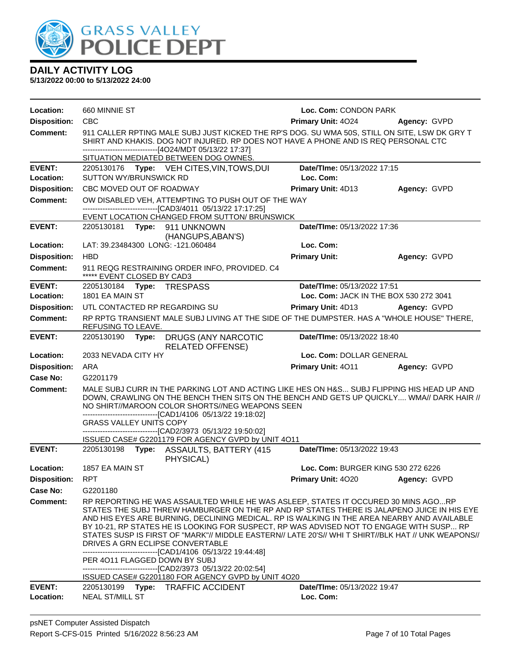

| Location:           | 660 MINNIE ST                                                                                                                                                                                                                                                                              |                                                                                                                                                                                                                                                                                                                                                                                                                                                                                                                                                                                                                                                                                          | Loc. Com: CONDON PARK                     |                                        |  |  |
|---------------------|--------------------------------------------------------------------------------------------------------------------------------------------------------------------------------------------------------------------------------------------------------------------------------------------|------------------------------------------------------------------------------------------------------------------------------------------------------------------------------------------------------------------------------------------------------------------------------------------------------------------------------------------------------------------------------------------------------------------------------------------------------------------------------------------------------------------------------------------------------------------------------------------------------------------------------------------------------------------------------------------|-------------------------------------------|----------------------------------------|--|--|
| <b>Disposition:</b> | <b>CBC</b>                                                                                                                                                                                                                                                                                 |                                                                                                                                                                                                                                                                                                                                                                                                                                                                                                                                                                                                                                                                                          | <b>Primary Unit: 4024</b>                 | Agency: GVPD                           |  |  |
| <b>Comment:</b>     | 911 CALLER RPTING MALE SUBJ JUST KICKED THE RP'S DOG. SU WMA 50S, STILL ON SITE, LSW DK GRY T<br>SHIRT AND KHAKIS. DOG NOT INJURED. RP DOES NOT HAVE A PHONE AND IS REQ PERSONAL CTC<br>--------------------------------[4O24/MDT 05/13/22 17:37]<br>SITUATION MEDIATED BETWEEN DOG OWNES. |                                                                                                                                                                                                                                                                                                                                                                                                                                                                                                                                                                                                                                                                                          |                                           |                                        |  |  |
| <b>EVENT:</b>       |                                                                                                                                                                                                                                                                                            | 2205130176 Type: VEH CITES, VIN, TOWS, DUI                                                                                                                                                                                                                                                                                                                                                                                                                                                                                                                                                                                                                                               | Date/TIme: 05/13/2022 17:15               |                                        |  |  |
| Location:           | <b>SUTTON WY/BRUNSWICK RD</b>                                                                                                                                                                                                                                                              |                                                                                                                                                                                                                                                                                                                                                                                                                                                                                                                                                                                                                                                                                          | Loc. Com:                                 |                                        |  |  |
| <b>Disposition:</b> | CBC MOVED OUT OF ROADWAY                                                                                                                                                                                                                                                                   |                                                                                                                                                                                                                                                                                                                                                                                                                                                                                                                                                                                                                                                                                          | Primary Unit: 4D13                        | Agency: GVPD                           |  |  |
| Comment:            |                                                                                                                                                                                                                                                                                            | OW DISABLED VEH, ATTEMPTING TO PUSH OUT OF THE WAY                                                                                                                                                                                                                                                                                                                                                                                                                                                                                                                                                                                                                                       |                                           |                                        |  |  |
|                     |                                                                                                                                                                                                                                                                                            | -------------------------------[CAD3/4011 05/13/22 17:17:25]<br>EVENT LOCATION CHANGED FROM SUTTON/ BRUNSWICK                                                                                                                                                                                                                                                                                                                                                                                                                                                                                                                                                                            |                                           |                                        |  |  |
| <b>EVENT:</b>       |                                                                                                                                                                                                                                                                                            | 2205130181 Type: 911 UNKNOWN<br>(HANGUPS, ABAN'S)                                                                                                                                                                                                                                                                                                                                                                                                                                                                                                                                                                                                                                        | Date/TIme: 05/13/2022 17:36               |                                        |  |  |
| Location:           |                                                                                                                                                                                                                                                                                            | LAT: 39.23484300 LONG: -121.060484                                                                                                                                                                                                                                                                                                                                                                                                                                                                                                                                                                                                                                                       | Loc. Com:                                 |                                        |  |  |
| <b>Disposition:</b> | <b>HBD</b>                                                                                                                                                                                                                                                                                 |                                                                                                                                                                                                                                                                                                                                                                                                                                                                                                                                                                                                                                                                                          | <b>Primary Unit:</b>                      | Agency: GVPD                           |  |  |
| <b>Comment:</b>     | ***** EVENT CLOSED BY CAD3                                                                                                                                                                                                                                                                 | 911 REQG RESTRAINING ORDER INFO, PROVIDED. C4                                                                                                                                                                                                                                                                                                                                                                                                                                                                                                                                                                                                                                            |                                           |                                        |  |  |
| <b>EVENT:</b>       | 2205130184    Type: TRESPASS                                                                                                                                                                                                                                                               |                                                                                                                                                                                                                                                                                                                                                                                                                                                                                                                                                                                                                                                                                          | Date/TIme: 05/13/2022 17:51               |                                        |  |  |
| Location:           | 1801 EA MAIN ST                                                                                                                                                                                                                                                                            |                                                                                                                                                                                                                                                                                                                                                                                                                                                                                                                                                                                                                                                                                          |                                           | Loc. Com: JACK IN THE BOX 530 272 3041 |  |  |
| <b>Disposition:</b> |                                                                                                                                                                                                                                                                                            | UTL CONTACTED RP REGARDING SU                                                                                                                                                                                                                                                                                                                                                                                                                                                                                                                                                                                                                                                            | <b>Primary Unit: 4D13</b>                 | Agency: GVPD                           |  |  |
| <b>Comment:</b>     | REFUSING TO LEAVE.                                                                                                                                                                                                                                                                         | RP RPTG TRANSIENT MALE SUBJ LIVING AT THE SIDE OF THE DUMPSTER. HAS A "WHOLE HOUSE" THERE,                                                                                                                                                                                                                                                                                                                                                                                                                                                                                                                                                                                               |                                           |                                        |  |  |
| <b>EVENT:</b>       | 2205130190 Type:                                                                                                                                                                                                                                                                           | DRUGS (ANY NARCOTIC<br><b>RELATED OFFENSE)</b>                                                                                                                                                                                                                                                                                                                                                                                                                                                                                                                                                                                                                                           | Date/TIme: 05/13/2022 18:40               |                                        |  |  |
| Location:           | 2033 NEVADA CITY HY                                                                                                                                                                                                                                                                        |                                                                                                                                                                                                                                                                                                                                                                                                                                                                                                                                                                                                                                                                                          | Loc. Com: DOLLAR GENERAL                  |                                        |  |  |
| <b>Disposition:</b> | ARA                                                                                                                                                                                                                                                                                        |                                                                                                                                                                                                                                                                                                                                                                                                                                                                                                                                                                                                                                                                                          | Primary Unit: 4011                        | Agency: GVPD                           |  |  |
| Case No:            | G2201179                                                                                                                                                                                                                                                                                   |                                                                                                                                                                                                                                                                                                                                                                                                                                                                                                                                                                                                                                                                                          |                                           |                                        |  |  |
| <b>Comment:</b>     |                                                                                                                                                                                                                                                                                            | MALE SUBJ CURR IN THE PARKING LOT AND ACTING LIKE HES ON H&S SUBJ FLIPPING HIS HEAD UP AND<br>DOWN, CRAWLING ON THE BENCH THEN SITS ON THE BENCH AND GETS UP QUICKLY WMA// DARK HAIR //<br>NO SHIRT//MAROON COLOR SHORTS//NEG WEAPONS SEEN<br>-------------------------------[CAD1/4106 05/13/22 19:18:02]                                                                                                                                                                                                                                                                                                                                                                               |                                           |                                        |  |  |
|                     | <b>GRASS VALLEY UNITS COPY</b>                                                                                                                                                                                                                                                             | -------------------------------[CAD2/3973 05/13/22 19:50:02]                                                                                                                                                                                                                                                                                                                                                                                                                                                                                                                                                                                                                             |                                           |                                        |  |  |
|                     |                                                                                                                                                                                                                                                                                            | ISSUED CASE# G2201179 FOR AGENCY GVPD by UNIT 4O11                                                                                                                                                                                                                                                                                                                                                                                                                                                                                                                                                                                                                                       |                                           |                                        |  |  |
| <b>EVENT:</b>       |                                                                                                                                                                                                                                                                                            | 2205130198    Type: ASSAULTS, BATTERY (415<br>PHYSICAL)                                                                                                                                                                                                                                                                                                                                                                                                                                                                                                                                                                                                                                  | Date/TIme: 05/13/2022 19:43               |                                        |  |  |
| Location:           | 1857 EA MAIN ST                                                                                                                                                                                                                                                                            |                                                                                                                                                                                                                                                                                                                                                                                                                                                                                                                                                                                                                                                                                          | <b>Loc. Com: BURGER KING 530 272 6226</b> |                                        |  |  |
| <b>Disposition:</b> | <b>RPT</b>                                                                                                                                                                                                                                                                                 |                                                                                                                                                                                                                                                                                                                                                                                                                                                                                                                                                                                                                                                                                          | Primary Unit: 4020                        | Agency: GVPD                           |  |  |
| Case No:            | G2201180                                                                                                                                                                                                                                                                                   |                                                                                                                                                                                                                                                                                                                                                                                                                                                                                                                                                                                                                                                                                          |                                           |                                        |  |  |
| Comment:            |                                                                                                                                                                                                                                                                                            | RP REPORTING HE WAS ASSAULTED WHILE HE WAS ASLEEP, STATES IT OCCURED 30 MINS AGORP<br>STATES THE SUBJ THREW HAMBURGER ON THE RP AND RP STATES THERE IS JALAPENO JUICE IN HIS EYE<br>AND HIS EYES ARE BURNING, DECLINING MEDICAL. RP IS WALKING IN THE AREA NEARBY AND AVAILABLE<br>BY 10-21, RP STATES HE IS LOOKING FOR SUSPECT, RP WAS ADVISED NOT TO ENGAGE WITH SUSP RP<br>STATES SUSP IS FIRST OF "MARK"// MIDDLE EASTERN// LATE 20'S// WHI T SHIRT//BLK HAT // UNK WEAPONS//<br>DRIVES A GRN ECLIPSE CONVERTABLE<br>-------------------------------[CAD1/4106 05/13/22 19:44:48]<br>PER 4011 FLAGGED DOWN BY SUBJ<br>--------------------------------[CAD2/3973 05/13/22 20:02:54] |                                           |                                        |  |  |
| <b>EVENT:</b>       | 2205130199<br>Type:                                                                                                                                                                                                                                                                        | ISSUED CASE# G2201180 FOR AGENCY GVPD by UNIT 4O20<br><b>TRAFFIC ACCIDENT</b>                                                                                                                                                                                                                                                                                                                                                                                                                                                                                                                                                                                                            | Date/TIme: 05/13/2022 19:47               |                                        |  |  |
|                     |                                                                                                                                                                                                                                                                                            |                                                                                                                                                                                                                                                                                                                                                                                                                                                                                                                                                                                                                                                                                          |                                           |                                        |  |  |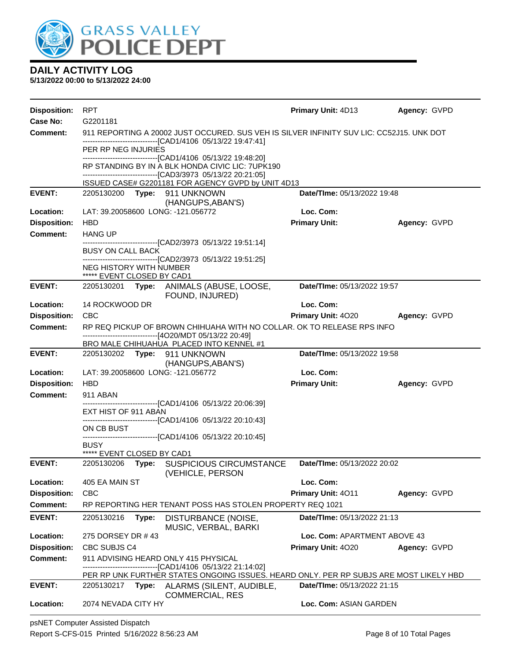

**5/13/2022 00:00 to 5/13/2022 24:00**

| <b>Disposition:</b> | <b>RPT</b>                                                                                                                                               |                                                                                                                                                                                 | Primary Unit: 4D13           | Agency: GVPD |  |
|---------------------|----------------------------------------------------------------------------------------------------------------------------------------------------------|---------------------------------------------------------------------------------------------------------------------------------------------------------------------------------|------------------------------|--------------|--|
| Case No:            | G2201181                                                                                                                                                 |                                                                                                                                                                                 |                              |              |  |
| <b>Comment:</b>     | 911 REPORTING A 20002 JUST OCCURED. SUS VEH IS SILVER INFINITY SUV LIC: CC52J15. UNK DOT<br>-------------------------------[CAD1/4106 05/13/22 19:47:41] |                                                                                                                                                                                 |                              |              |  |
|                     | PER RP NEG INJURIES                                                                                                                                      |                                                                                                                                                                                 |                              |              |  |
|                     |                                                                                                                                                          | ------------------------------[CAD1/4106 05/13/22 19:48:20]<br>RP STANDING BY IN A BLK HONDA CIVIC LIC: 7UPK190<br>-------------------------------[CAD3/3973 05/13/22 20:21:05] |                              |              |  |
|                     |                                                                                                                                                          | ISSUED CASE# G2201181 FOR AGENCY GVPD by UNIT 4D13                                                                                                                              |                              |              |  |
| <b>EVENT:</b>       | 2205130200 Type: 911 UNKNOWN<br><b>Date/Time: 05/13/2022 19:48</b><br>(HANGUPS, ABAN'S)                                                                  |                                                                                                                                                                                 |                              |              |  |
| Location:           | LAT: 39.20058600 LONG: -121.056772                                                                                                                       |                                                                                                                                                                                 | Loc. Com:                    |              |  |
| <b>Disposition:</b> | <b>HBD</b>                                                                                                                                               |                                                                                                                                                                                 | <b>Primary Unit:</b>         | Agency: GVPD |  |
| <b>Comment:</b>     | <b>HANG UP</b>                                                                                                                                           |                                                                                                                                                                                 |                              |              |  |
|                     | <b>BUSY ON CALL BACK</b>                                                                                                                                 | -------------------------------[CAD2/3973_05/13/22_19:51:14]                                                                                                                    |                              |              |  |
|                     |                                                                                                                                                          | -------------------------------[CAD2/3973 05/13/22 19:51:25]                                                                                                                    |                              |              |  |
|                     | <b>NEG HISTORY WITH NUMBER</b><br>***** EVENT CLOSED BY CAD1                                                                                             |                                                                                                                                                                                 |                              |              |  |
| <b>EVENT:</b>       | 2205130201                                                                                                                                               | Type: ANIMALS (ABUSE, LOOSE,<br>FOUND, INJURED)                                                                                                                                 | Date/TIme: 05/13/2022 19:57  |              |  |
| Location:           | 14 ROCKWOOD DR                                                                                                                                           |                                                                                                                                                                                 | Loc. Com:                    |              |  |
| <b>Disposition:</b> | <b>CBC</b>                                                                                                                                               |                                                                                                                                                                                 | Primary Unit: 4020           | Agency: GVPD |  |
| <b>Comment:</b>     |                                                                                                                                                          | RP REQ PICKUP OF BROWN CHIHUAHA WITH NO COLLAR. OK TO RELEASE RPS INFO<br>------------------------------[4O20/MDT 05/13/22 20:49]                                               |                              |              |  |
|                     |                                                                                                                                                          | BRO MALE CHIHUAHUA PLACED INTO KENNEL #1                                                                                                                                        |                              |              |  |
| <b>EVENT:</b>       | Date/TIme: 05/13/2022 19:58<br>2205130202 Type: 911 UNKNOWN<br>(HANGUPS, ABAN'S)                                                                         |                                                                                                                                                                                 |                              |              |  |
| Location:           | LAT: 39.20058600 LONG: -121.056772                                                                                                                       |                                                                                                                                                                                 | Loc. Com:                    |              |  |
| <b>Disposition:</b> | <b>HBD</b>                                                                                                                                               |                                                                                                                                                                                 | <b>Primary Unit:</b>         | Agency: GVPD |  |
| <b>Comment:</b>     | 911 ABAN                                                                                                                                                 | -------------------------------[CAD1/4106 05/13/22 20:06:39]                                                                                                                    |                              |              |  |
|                     | EXT HIST OF 911 ABAN                                                                                                                                     |                                                                                                                                                                                 |                              |              |  |
|                     | ON CB BUST                                                                                                                                               | ------------------------------[CAD1/4106 05/13/22 20:10:43]                                                                                                                     |                              |              |  |
|                     |                                                                                                                                                          | -------------------------------[CAD1/4106 05/13/22 20:10:45]                                                                                                                    |                              |              |  |
|                     | <b>BUSY</b><br>***** EVENT CLOSED BY CAD1                                                                                                                |                                                                                                                                                                                 |                              |              |  |
| <b>EVENT:</b>       | 2205130206<br>Type:                                                                                                                                      | <b>SUSPICIOUS CIRCUMSTANCE</b><br>(VEHICLE, PERSON                                                                                                                              | Date/TIme: 05/13/2022 20:02  |              |  |
| Location:           | 405 EA MAIN ST                                                                                                                                           |                                                                                                                                                                                 | Loc. Com:                    |              |  |
| <b>Disposition:</b> | <b>CBC</b>                                                                                                                                               |                                                                                                                                                                                 | Primary Unit: 4011           | Agency: GVPD |  |
| <b>Comment:</b>     |                                                                                                                                                          | RP REPORTING HER TENANT POSS HAS STOLEN PROPERTY REQ 1021                                                                                                                       |                              |              |  |
| <b>EVENT:</b>       | Date/TIme: 05/13/2022 21:13<br>2205130216<br>Type:<br>DISTURBANCE (NOISE,<br>MUSIC, VERBAL, BARKI                                                        |                                                                                                                                                                                 |                              |              |  |
| Location:           | 275 DORSEY DR #43                                                                                                                                        |                                                                                                                                                                                 | Loc. Com: APARTMENT ABOVE 43 |              |  |
| <b>Disposition:</b> | CBC SUBJS C4                                                                                                                                             |                                                                                                                                                                                 | Primary Unit: 4020           | Agency: GVPD |  |
| Comment:            |                                                                                                                                                          | 911 ADVISING HEARD ONLY 415 PHYSICAL<br>-----------------------[CAD1/4106_05/13/22 21:14:02]                                                                                    |                              |              |  |
|                     |                                                                                                                                                          | PER RP UNK FURTHER STATES ONGOING ISSUES. HEARD ONLY. PER RP SUBJS ARE MOST LIKELY HBD                                                                                          |                              |              |  |
| <b>EVENT:</b>       | 2205130217<br>Type:                                                                                                                                      | ALARMS (SILENT, AUDIBLE,<br><b>COMMERCIAL, RES</b>                                                                                                                              | Date/TIme: 05/13/2022 21:15  |              |  |
| Location:           | 2074 NEVADA CITY HY                                                                                                                                      |                                                                                                                                                                                 | Loc. Com: ASIAN GARDEN       |              |  |

psNET Computer Assisted Dispatch Report S-CFS-015 Printed 5/16/2022 8:56:23 AM Page 8 of 10 Total Pages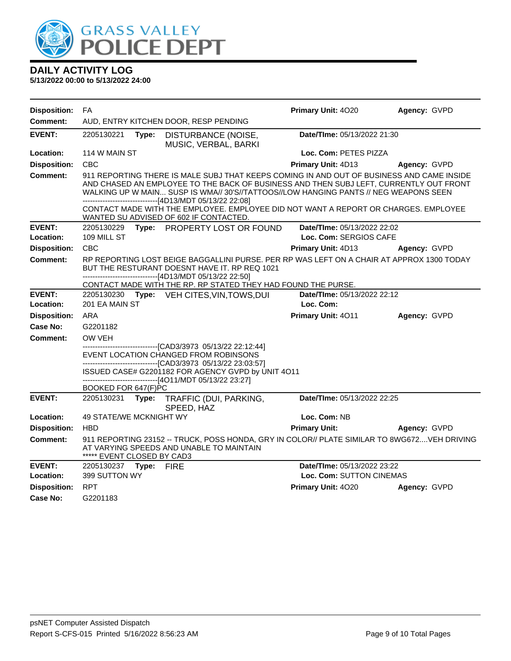

| <b>Disposition:</b> | FA                                                             |                                                                                                                                                                                                                                                                                                                                        | Primary Unit: 4020          | Agency: GVPD |
|---------------------|----------------------------------------------------------------|----------------------------------------------------------------------------------------------------------------------------------------------------------------------------------------------------------------------------------------------------------------------------------------------------------------------------------------|-----------------------------|--------------|
| Comment:            |                                                                | AUD, ENTRY KITCHEN DOOR, RESP PENDING                                                                                                                                                                                                                                                                                                  |                             |              |
| <b>EVENT:</b>       | 2205130221<br>Type:                                            | DISTURBANCE (NOISE,<br>MUSIC, VERBAL, BARKI                                                                                                                                                                                                                                                                                            | Date/TIme: 05/13/2022 21:30 |              |
| Location:           | 114 W MAIN ST                                                  |                                                                                                                                                                                                                                                                                                                                        | Loc. Com: PETES PIZZA       |              |
| <b>Disposition:</b> | <b>CBC</b>                                                     |                                                                                                                                                                                                                                                                                                                                        | Primary Unit: 4D13          | Agency: GVPD |
| <b>Comment:</b>     |                                                                | 911 REPORTING THERE IS MALE SUBJ THAT KEEPS COMING IN AND OUT OF BUSINESS AND CAME INSIDE<br>AND CHASED AN EMPLOYEE TO THE BACK OF BUSINESS AND THEN SUBJ LEFT, CURRENTLY OUT FRONT<br>WALKING UP W MAIN SUSP IS WMA// 30'S//TATTOOS//LOW HANGING PANTS // NEG WEAPONS SEEN<br>------------------------------[4D13/MDT 05/13/22 22:08] |                             |              |
|                     |                                                                | CONTACT MADE WITH THE EMPLOYEE. EMPLOYEE DID NOT WANT A REPORT OR CHARGES. EMPLOYEE<br>WANTED SU ADVISED OF 602 IF CONTACTED.                                                                                                                                                                                                          |                             |              |
| <b>EVENT:</b>       | 2205130229                                                     | Type: PROPERTY LOST OR FOUND                                                                                                                                                                                                                                                                                                           | Date/TIme: 05/13/2022 22:02 |              |
| Location:           | 109 MILL ST                                                    |                                                                                                                                                                                                                                                                                                                                        | Loc. Com: SERGIOS CAFE      |              |
| <b>Disposition:</b> | <b>CBC</b>                                                     |                                                                                                                                                                                                                                                                                                                                        | Primary Unit: 4D13          | Agency: GVPD |
| Comment:            |                                                                | RP REPORTING LOST BEIGE BAGGALLINI PURSE. PER RP WAS LEFT ON A CHAIR AT APPROX 1300 TODAY<br>BUT THE RESTURANT DOESNT HAVE IT. RP REQ 1021<br>------------------------------[4D13/MDT 05/13/22 22:50]                                                                                                                                  |                             |              |
|                     |                                                                | CONTACT MADE WITH THE RP. RP STATED THEY HAD FOUND THE PURSE.                                                                                                                                                                                                                                                                          |                             |              |
| <b>EVENT:</b>       | 2205130230                                                     | Type: VEH CITES, VIN, TOWS, DUI                                                                                                                                                                                                                                                                                                        | Date/TIme: 05/13/2022 22:12 |              |
| Location:           | 201 EA MAIN ST                                                 |                                                                                                                                                                                                                                                                                                                                        | Loc. Com:                   |              |
| <b>Disposition:</b> | ARA                                                            |                                                                                                                                                                                                                                                                                                                                        | Primary Unit: 4011          | Agency: GVPD |
| Case No:            | G2201182                                                       |                                                                                                                                                                                                                                                                                                                                        |                             |              |
| Comment:            | OW VEH                                                         |                                                                                                                                                                                                                                                                                                                                        |                             |              |
|                     |                                                                | --------------------------------[CAD3/3973 05/13/22 22:12:44]<br>EVENT LOCATION CHANGED FROM ROBINSONS<br>-------------------------------[CAD3/3973 05/13/22 23:03:57]                                                                                                                                                                 |                             |              |
|                     |                                                                | ISSUED CASE# G2201182 FOR AGENCY GVPD by UNIT 4O11<br>------------------------------[4O11/MDT 05/13/22 23:27]                                                                                                                                                                                                                          |                             |              |
|                     | BOOKED FOR 647(F)PC                                            |                                                                                                                                                                                                                                                                                                                                        |                             |              |
| <b>EVENT:</b>       | 2205130231<br>Type:                                            | TRAFFIC (DUI, PARKING,<br>SPEED, HAZ                                                                                                                                                                                                                                                                                                   | Date/TIme: 05/13/2022 22:25 |              |
| Location:           | 49 STATE/WE MCKNIGHT WY                                        |                                                                                                                                                                                                                                                                                                                                        | Loc. Com: NB                |              |
| <b>Disposition:</b> | <b>HBD</b>                                                     |                                                                                                                                                                                                                                                                                                                                        | <b>Primary Unit:</b>        | Agency: GVPD |
| Comment:            | ***** EVENT CLOSED BY CAD3                                     | 911 REPORTING 23152 -- TRUCK, POSS HONDA, GRY IN COLOR// PLATE SIMILAR TO 8WG672VEH DRIVING<br>AT VARYING SPEEDS AND UNABLE TO MAINTAIN                                                                                                                                                                                                |                             |              |
| <b>EVENT:</b>       | Date/TIme: 05/13/2022 23:22<br><b>FIRE</b><br>2205130237 Type: |                                                                                                                                                                                                                                                                                                                                        |                             |              |
| Location:           | 399 SUTTON WY                                                  |                                                                                                                                                                                                                                                                                                                                        | Loc. Com: SUTTON CINEMAS    |              |
| <b>Disposition:</b> | <b>RPT</b>                                                     |                                                                                                                                                                                                                                                                                                                                        | Primary Unit: 4020          | Agency: GVPD |
| Case No:            | G2201183                                                       |                                                                                                                                                                                                                                                                                                                                        |                             |              |